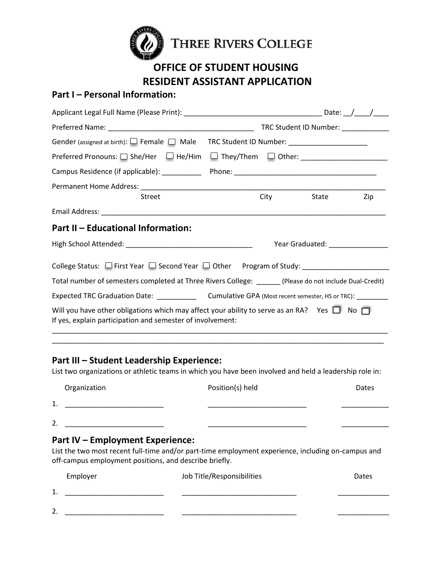

# **OFFICE OF STUDENT HOUSING RESIDENT ASSISTANT APPLICATION**

## **Part I – Personal Information:**

|                                                                                                                                                                     |  |             | TRC Student ID Number: ____________        |     |
|---------------------------------------------------------------------------------------------------------------------------------------------------------------------|--|-------------|--------------------------------------------|-----|
| Gender (assigned at birth): $\Box$ Female $\Box$ Male TRC Student ID Number: _______________________                                                                |  |             |                                            |     |
|                                                                                                                                                                     |  |             |                                            |     |
|                                                                                                                                                                     |  |             |                                            |     |
|                                                                                                                                                                     |  |             |                                            |     |
| <b>Street</b>                                                                                                                                                       |  | <b>City</b> | State                                      | Zip |
|                                                                                                                                                                     |  |             |                                            |     |
| Part II - Educational Information:                                                                                                                                  |  |             |                                            |     |
|                                                                                                                                                                     |  |             | Year Graduated: Nearly Changes and Changes |     |
|                                                                                                                                                                     |  |             |                                            |     |
| Total number of semesters completed at Three Rivers College: ______ (Please do not include Dual-Credit)                                                             |  |             |                                            |     |
|                                                                                                                                                                     |  |             |                                            |     |
| Will you have other obligations which may affect your ability to serve as an RA? Yes $\Box$ No $\Box$<br>If yes, explain participation and semester of involvement: |  |             |                                            |     |

### **Part III – Student Leadership Experience:**

List two organizations or athletic teams in which you have been involved and held a leadership role in:

\_\_\_\_\_\_\_\_\_\_\_\_\_\_\_\_\_\_\_\_\_\_\_\_\_\_\_\_\_\_\_\_\_\_\_\_\_\_\_\_\_\_\_\_\_\_\_\_\_\_\_\_\_\_\_\_\_\_\_\_\_\_\_\_\_\_\_\_\_\_\_\_\_\_\_\_\_\_\_\_\_\_\_\_

|         | Organization | Position(s) held | Dates |
|---------|--------------|------------------|-------|
| 1<br>ᆠ. |              |                  |       |
| 2.      |              |                  |       |

### **Part IV – Employment Experience:**

List the two most recent full-time and/or part-time employment experience, including on-campus and off-campus employment positions, and describe briefly.

|               | Employer | Job Title/Responsibilities | Dates |
|---------------|----------|----------------------------|-------|
| <u>д</u> ,    |          |                            |       |
| າ<br><u>.</u> |          |                            |       |